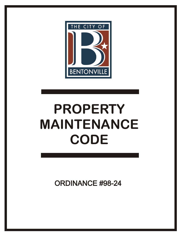

# **PROPERTY MAINTENANCE CODE**

**ORDINANCE #98-24**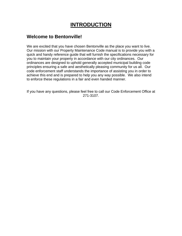# **INTRODUCTION**

## **Welcome to Bentonville!**

We are excited that you have chosen Bentonville as the place you want to live. Our mission with our Property Maintenance Code manual is to provide you with a quick and handy reference guide that will furnish the specifications necessary for you to maintain your property in accordance with our city ordinances. Our ordinances are designed to uphold generally accepted municipal building code principles ensuring a safe and aesthetically pleasing community for us all. Our code enforcement staff understands the importance of assisting you in order to achieve this end and is prepared to help you any way possible. We also intend to enforce these regulations in a fair and even handed manner.

If you have any questions, please feel free to call our Code Enforcement Office at 271-3107.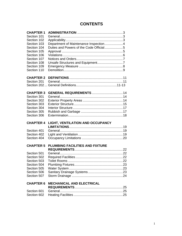## **CONTENTS**

| <b>CHAPTER 1</b>           |                                         |  |
|----------------------------|-----------------------------------------|--|
| Section 101                |                                         |  |
| Section 102                |                                         |  |
| Section 103                | Department of Maintenance Inspection4   |  |
| Section 104                | Duties and Powers of the Code Official5 |  |
| Section 105                |                                         |  |
| Section 106                |                                         |  |
| Section 107                |                                         |  |
| Section 108                |                                         |  |
| Section 109                |                                         |  |
| Section 110                |                                         |  |
| <b>CHAPTER 2</b>           |                                         |  |
| Section 201                |                                         |  |
|                            |                                         |  |
| <b>CHAPTER 3</b>           | <b>GENERAL REQUIREMENTS  14</b>         |  |
| Section 301                |                                         |  |
| Section 302                |                                         |  |
| Section 303                |                                         |  |
| Section 304                |                                         |  |
| Section 305                |                                         |  |
| Section 306                |                                         |  |
|                            |                                         |  |
| <b>CHAPTER 4</b>           | LIGHT, VENTILATION AND OCCUPANCY        |  |
|                            |                                         |  |
| Section 401                |                                         |  |
| Section 402                |                                         |  |
| Section 404                |                                         |  |
| <b>CHAPTER 5</b>           | <b>PLUMBING FACILITIES AND FIXTURE</b>  |  |
|                            |                                         |  |
| Section 501                |                                         |  |
| Section 502                |                                         |  |
| Section 503                |                                         |  |
| Section 504                |                                         |  |
| Section 505                |                                         |  |
| Section 506                |                                         |  |
| Section 507                |                                         |  |
| <b>CHAPTER 6</b>           | <b>MECHANICAL AND ELECTRICAL</b>        |  |
|                            |                                         |  |
| Section 601<br>Section 602 |                                         |  |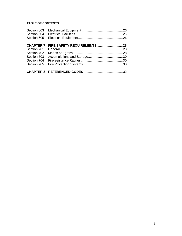## **TABLE OF CONTENTS**

| Section 603      |  |
|------------------|--|
| Section 604      |  |
| Section 605      |  |
|                  |  |
| <b>CHAPTER 7</b> |  |
| Section 701      |  |
| Section 702      |  |
| Section 703      |  |
| Section 704      |  |
| Section 705      |  |
|                  |  |
|                  |  |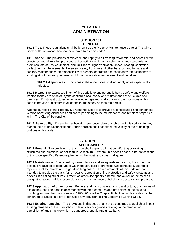## **CHAPTER 1 ADMINISTRATION**

## **SECTION 101 GENERAL**

**101.1 Title.** These regulations shall be known as the Property Maintenance Code of The City of Bentonville, Arkansas, hereinafter referred to as "this code."

**101.2 Scope.** The provisions of this code shall apply to all existing residential and nonresidential structures and all existing premises and constitute minimum requirements and standards for premises, structures, equipment, and facilities for light, ventilation, space, heating, sanitation, protection from the elements, life safety, safety from fire and other hazards, and for safe and sanitary maintenance; the responsibility of owners, operators and occupants; the occupancy of existing structures and premises, and for administration, enforcement and penalties.

**101.2.1 Appendices.** Provisions in the appendices shall not apply unless specifically adopted.

**101.3 Intent.** The expressed intent of this code is to ensure public health, safety and welfare insofar as they are affected by the continued occupancy and maintenance of structures and premises. Existing structures, when altered or repaired shall comply to the provisions of this code to provide a minimum level of health and safety as required herein.

Also the purpose of the Property Maintenance Code is to provide a consolidated and condensed version of existing ordinances and codes pertaining to the maintenance and repair of properties within The City of Bentonville.

**101.4 Severability.** If a section, subsection, sentence, clause or phrase of this code is, for any reason, held to be unconstitutional, such decision shall not affect the validity of the remaining portions of this code.

## **SECTION 102 APPLICABILITY**

**102.1 General.** The provisions of this code shall apply to all matters affecting or relating to structures and premises, as set forth in Section 101. Where, in a specific case, different sections of this code specify different requirements, the most restrictive shall govern.

**102.2 Maintenance.** Equipment, systems, devices and safeguards required by this code or a previous regulation or code under which the structure or premises was conducted, altered or repaired shall be maintained in good working order. The requirements of this code are not intended to provide the basis for removal or abrogation of fire protection and safety systems and devices in existing structures. Except as otherwise specified herein, the owner or the owner's designated agent shall be responsible for the maintenance of buildings, structures and premises.

**102.3 Application of other codes.** Repairs, additions or alterations to a structure, or changes of occupancy, shall be done in accordance with the procedures and provisions of the building, plumbing and mechanical codes and NFPA 70 listed in Chapter 8. Nothing in this code shall be construed to cancel, modify or set aside any provision of The Bentonville Zoning Code.

**102.4 Existing remedies.** The provisions in this code shall not be construed to abolish or impair existing remedies of the jurisdiction or its officers or agencies relating to the removal or demolition of any structure which is dangerous, unsafe and unsanitary.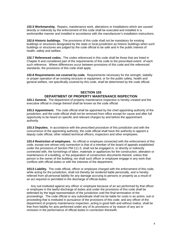**102.5 Workmanship.** Repairs, maintenance work, alterations or installations which are caused directly or indirectly by the enforcement of this code shall be executed and installed in a workmanlike manner and installed in accordance with the manufacturer's installation instructions.

**102.6 Historic buildings.** The provisions of this code shall not be mandatory for existing buildings or structures designated by the state or local jurisdiction as historic buildings when such buildings or structures are judged by the code official to be safe and in the public interest of health, safety and welfare.

**102.7 Referenced codes.** The codes referenced in this code shall be those that are listed in Chapter 8 and considered part of the requirements of this code to the prescribed extent of each such reference. Where differences occur between provisions of this code and the referenced standards, the provisions of this code shall apply.

**102.8 Requirements not covered by code.** Requirements necessary for the strength, stability or proper operation of an existing structure or equipment, or for the public safety, health and general welfare, not specifically covered by this code, shall be determined by the code official.

## **SECTION 103 DEPARTMENT OF PROPERTY MAINTENANCE INSPECTION**

**103.1 General.** The department of property maintenance inspection is hereby created and the executive official in charge thereof shall be known as the code official.

**103.2 Appointment.** The code official shall be appointed by the chief appointing authority of the jurisdiction; and the code official shall not be removed from office except for cause and after full opportunity to be heard on specific and relevant charges by and before the appointment authority.

**103.3 Deputies.** In accordance with the prescribed procedure of this jurisdiction and with the concurrence of the appointing authority, the code official shall have the authority to appoint a deputy code official, other related technical officers, inspectors and other employees.

**103.4 Restriction of employees.** An official or employee connected with the enforcement of this code, except one whose only connection is that of a member of the board of appeals established under the provisions of Section PM-111.0, shall not be engaged in, or directly or indirectly connected with, the furnishings of labor, materials or appliances for the construction, alteration or maintenance of a building, or the preparation of construction documents thereof, unless that person is the owner of the building; nor shall such officer or employee engage in any work that conflicts with official duties or with the interests of the department.

**103.5 Liability.** The code official, officer or employee charged with the enforcement of this code, while acting for the jurisdiction, shall not thereby be rendered liable personally, and is hereby relieved from all personal liability for any damage accruing to persons or property as a result of an act required or permitted in the discharge of official duties.

 Any suit instituted against any officer or employee because of an act performed by that officer or employee in the lawful discharge of duties and under the provisions of this code shall be defended by the legal representation of the jurisdiction until the final termination of the proceedings. The code official or any subordinate shall not be liable for costs in an action, suit or proceeding that is instituted in pursuance of the provisions of this code; and any officer of the department of property maintenance inspection, acting in good faith and without malice, shall be free from liability for acts performed under any of its provisions or by reason of any act or omission in the performance of official duties in connection therewith.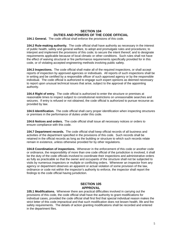## **SECTION 104 DUTIES AND POWERS OF THE CODE OFFICIAL**

**104.1 General.** The code official shall enforce the provisions of this code.

**104.2 Rule-making authority.** The code official shall have authority as necessary in the interest of public health, safety and general welfare, to adopt and promulgate rules and procedures; to interpret and implement the provisions of this code; to secure the intent thereof; and to designate requirements applicable because of local climatic or other conditions. Such rules shall not have the effect of waiving structural or fire performance requirements specifically provided for in this code, or of violating accepted engineering methods involving public safety.

**104.3 Inspections.** The code official shall make all of the required inspections, or shall accept reports of inspection by approved agencies or individuals. All reports of such inspections shall be in writing and be certified by a responsible officer of such approved agency or by the responsible individual. The code official is authorized to engage such expert opinions as deemed necessary to report upon unusual technical issues that arise, subject to the approval of the appointing authority.

**104.4 Right of entry.** The code official is authorized to enter the structure or premises at reasonable times to inspect subject to constitutional restrictions on unreasonable searches and seizures. If entry is refused or not obtained, the code official is authorized to pursue recourse as provided by law.

**104.5 Identification.** The code official shall carry proper identification when inspecting structures or premises in the performance of duties under this code.

**104.6 Notices and orders.** The code official shall issue all necessary notices or orders to ensure compliance with this code.

**104.7 Department records.** The code official shall keep official records of all business and activities of the department specified in the provisions of this code. Such records shall be retained in the official records as long as the building or structure to which such records relate remain in existence, unless otherwise provided for by other regulations.

**104.8 Coordination of inspections.** Whenever in the enforcement of this code or another code or ordinance, the responsibility of more than one code official of the jurisdiction is involved, it shall be the duty of the code officials involved to coordinate their inspections and administrative orders as fully as practicable so that the owner and occupants of the structure shall not be subjected to visits by numerous inspectors or multiple or conflicting orders. Whenever an inspector from any agency or department observes an apparent or actual violation of some provision of the law, ordinance or code not within the inspector's authority to enforce, the inspector shall report the findings to the code official having jurisdiction.

## **SECTION 105 APPROVAL**

**105.1 Modifications.** Whenever there are practical difficulties involved in carrying out the provisions of this code, the code official shall have the authority to grant modifications for individual cases, provided the code official shall first find that special individual reason makes the strict letter of this code impractical and that such modification does not lessen health, life and fire safety requirements. The details of action granting modifications shall be recorded and entered in the department files.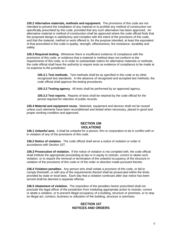**105.2 Alternative materials, methods and equipment.** The provisions of this code are not intended to prevent the installation of any material or to prohibit any method of construction not specifically prescribed by this code, provided that any such alternative has been approved. An alternative material or method of construction shall be approved where the code official finds that the proposed design is satisfactory and complies with the intent of the provisions of this code, and that the material, method or work offered is, for the purpose intended, at least the equivalent of that prescribed in this code in quality, strength, effectiveness, fire resistance, durability and safety.

**105.3 Required testing.** Whenever there is insufficient evidence of compliance with the provisions of this code, or evidence that a material or method does not conform to the requirements of this code, or in order to substantiate claims for alternative materials or methods, the code official shall have the authority to require tests as evidence of compliance to be made at no expense to the jurisdiction.

**105.3.1 Test methods.** Test methods shall be as specified in this code or by other recognized test standards. In the absence of recognized and accepted test methods, the code official shall approve the testing procedures.

**105.3.2 Testing agency.** All tests shall be performed by an approved agency.

**105.3.3 Test reports.** Reports of tests shall be retained by the code official for the period required for retention of public records.

**105.4 Material and equipment reuse.** Materials, equipment and devices shall not be reused unless such elements have been reconditioned and tested when necessary, placed in good and proper working condition and approved.

## **SECTION 106 VIOLATIONS**

**106.1 Unlawful acts.** It shall be unlawful for a person, firm or corporation to be in conflict with or in violation of any of the provisions of this code.

**106.2 Notice of violation.** The code official shall serve a notice of violation or order in accordance with Section 107.

**106.3 Prosecution of violation.** If the notice of violation is not complied with, the code official shall institute the appropriate proceeding at law or in equity to restrain, correct or abate such violation, or to require the removal or termination of the unlawful occupancy of the structure in violation of the provisions of this code or of the order or direction made pursuant thereto.

**106.4 Violation penalties.** Any person who shall violate a provision of this code, or fail to comply therewith, or with any of the requirements thereof shall be prosecuted within the limits provided by state or local laws. Each day that a violation continues after due notice has been served shall be deemed a separate offense.

**106.5 Abatement of violation.** The imposition of the penalties herein prescribed shall not preclude the legal officer of the jurisdiction from instituting appropriate action to restrain, correct or abate a violation, or to prevent illegal occupancy of a building, structure or premises, or to stop an illegal act, conduct, business or utilization of the building, structure or premises.

## **SECTION 107 NOTICES AND ORDERS**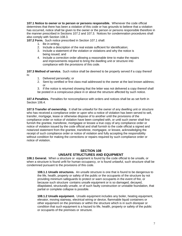**107.1 Notice to owner or to person or persons responsible.** Whenever the code official determines that there has been a violation of this code or has grounds to believe that a violation has occurred, notice shall be given to the owner or the person or persons responsible therefore in the manner prescribed in Sections 107.2 and 107.3. Notices for condemnation procedures shall also comply with Section 108.3.

**107.2 Form.** Such notice prescribed in Section 107.1 shall:

- 1. Be in writing;
- 2. Include a description of the real estate sufficient for identification;
- 3. Include a statement of the violation or violations and why the notice is being issued; and
- 4. Include a correction order allowing a reasonable time to make the repairs and improvements required to bring the dwelling unit or structure into compliance with the provisions of this code.

**107.3 Method of service.** Such notice shall be deemed to be properly served if a copy thereof is:

- 1. Delivered personally; or
- 2. Sent by certified or first class mail addressed to the owner at the last known address; or
- 3. If the notice is returned showing that the letter was not delivered a copy thereof shall be posted in a conspicuous place in or about the structure affected by such notice.

**107.4 Penalties.** Penalties for noncompliance with orders and notices shall be as set forth in Section 106.4.

**107.5 Transfer of ownership.** It shall be unlawful for the owner of any dwelling unit or structure who has received a compliance order or upon who a notice of violation has been served to sell, transfer, mortgage, lease or otherwise dispose of to another until the provisions of the compliance order or notice of violation have been complied with, or until such owner shall first furnish the grantee, transferee, mortgagee or lessee a true copy of any compliance order or notice of violation issued by the code official and shall furnish to the code official a signed and notarized statement from the grantee, transferee, mortgagee, or lessee, acknowledging the receipt of such compliance order or notice of violation and fully accepting the responsibility without condition for making the corrections or repairs required by such compliance order or notice of violation.

## **SECTION 108 UNSAFE STRUCTURES AND EQUIPMENT**

**108.1 General.** When a structure or equipment is found by the code official to be unsafe, or when a structure is found unfit for human occupancy, or is found unlawful, such structure shall be condemned pursuant to the provisions of this code.

 **108.1.1 Unsafe structures.** An unsafe structure is one that is found to be dangerous to the life, health, property or safety of the public or the occupants of the structure by not providing minimum safeguards to protect or warn occupants in the event of fire, or because such structure contains unsafe equipment or is so damaged, decayed, dilapidated, structurally unsafe, or of such faulty construction or unstable foundation, that partial or complete collapse is possible.

**108.1.2 Unsafe equipment.** Unsafe equipment includes any boiler, heating equipment, elevator, moving stairway, electrical wiring or device, flammable liquid containers or other equipment on the premises or within the structure which is in such disrepair or condition that such equipment is a hazard to life, health, property or safety of the public or occupants of the premises or structure.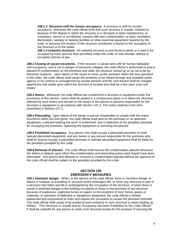**108.1.3 Structure unfit for human occupancy.** A structure is unfit for human occupancy whenever the code official finds that such structure is unsafe, unlawful or, because of the degree to which the structure is in disrepair or lacks maintenance, is unsanitary, vermin or rat infested, contains filth and contamination, or lacks ventilation, illumination, sanitary or heating facilities or other essential equipment required by this code, or because the location of the structure constitutes a hazard to the occupants of the structure or to the public.

**108.1.4 Unlawful structure.** An unlawful structure is one found in whole or in part to be occupied by more persons than permitted under this code, or was erected, altered or occupied contrary to law.

**108.2 Closing of vacant structures.** If the structure is vacant and unfit for human habitation and occupancy, and is not in danger of structural collapse, the code official is authorized to post a placard of condemnation on the premises and order the structure closed up so as not to be an attractive nuisance. Upon failure of the owner to close up the premises within the time specified in the order, the code official shall cause the premises to be closed through any available public agency or by contract or arrangement by private persons and the cost thereof shall be charged against the real estate upon which the structure is located and shall be a lien upon such real estate.

**108.3 Notice.** Whenever the code official has condemned a structure or equipment under the provisions of this section, notice shall be posted in a conspicuous place in or about the structure affected by such notice and served on the owner or the person or persons responsible for the structure or equipment in accordance with Section 107.3. The notice shall be in the form prescribed in Section 107.2.

**108.4 Placarding.** Upon failure of the owner or person responsible to comply with the notice provisions within the time given, the code official shall post on the premises or on defective equipment, a placard bearing the word "Condemned" and a statement of the penalties provided for occupying the premises, operating the equipment or removing the placard.

**108.5 Prohibited occupancy.** Any person who shall occupy a placarded premises or shall operate placarded equipment, and any owner or any person responsible for the premises who shall let anyone occupy a placarded premises or operate placarded equipment shall be liable for the penalties provided by this code.

**108.6 Removal of placard.** The code official shall remove the condemnation placard whenever the defect or defects upon which the condemnation and placarding action were based have been eliminated. Any person who defaces or removes a condemnation placard without the approval of the code official shall be subject to the penalties provided by this code.

## **SECTION 109 EMERGENCY MEASURES**

**109.1 Imminent danger.** When, in the opinion of the code official, there is imminent danger of failure or collapse of a building or structure which endangers life, or when any structure or part of a structure has fallen and life is endangered by the occupation of the structure, or when there is actual or potential danger to the building occupants or those in the proximity of any structure because of explosives, explosive fumes or vapors or the presence of toxic fumes, gases or materials, or operation of defective or dangerous equipment, the code official is hereby authorized and empowered to order and require the occupants to vacate the premises forthwith. The code official shall cause to be posted at each entrance to such structure a notice reading as follows. "This Structure is Unsafe and its Occupancy has been Prohibited by the Code Official." It shall be unlawful for any person to enter such structure except for the purpose of securing the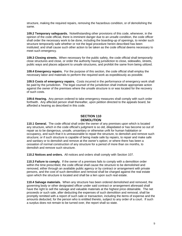structure, making the required repairs, removing the hazardous condition, or of demolishing the same.

**109.2 Temporary safeguards.** Notwithstanding other provisions of this code, whenever, in the opinion of the code official, there is imminent danger due to an unsafe condition, the code officer shall order the necessary work to be done, including the boarding-up of openings, to render such structure temporarily safe whether or not the legal procedure herein described has been instituted; and shall cause such other action to be taken as the code official deems necessary to meet such emergency.

**109.3 Closing streets.** When necessary for the public safety, the code official shall temporarily close structures and close, or order the authority having jurisdiction to close, sidewalks, streets, public ways and places adjacent to unsafe structures, and prohibit the same from being utilized.

**109.4 Emergency repairs.** For the purpose of this section, the code official shall employ the necessary labor and materials to perform the required work as expeditiously as possible.

**109.5 Costs of emergency repairs.** Costs incurred in the performance of emergency work shall be paid by the jurisdiction. The legal counsel of the jurisdiction shall institute appropriate action against the owner of the premises where the unsafe structure is or was located for the recovery of such costs.

**109.6 Hearing.** Any person ordered to take emergency measures shall comply with such order forthwith. Any affected person shall thereafter, upon petition directed to the appeals board, be afforded a hearing as described in this code.

## **SECTION 110 DEMOLITION**

**110.1 General.** The code official shall order the owner of any premises upon which is located any structure, which in the code official's judgment is so old, dilapidated or has become so out of repair as to be dangerous, unsafe, unsanitary or otherwise unfit for human habitation or occupancy, and such that it is unreasonable to repair the structure, to demolish and remove such structure; or if such structure is capable of being made safe by repairs, to repair and make safe and sanitary or to demolish and remove at the owner's option; or where there has been a cessation of normal construction of any structure for a period of more than six months, to demolish and remove such structure.

**110.2 Notices and orders.** All notices and orders shall comply with Section 107.

**110.3 Failure to comply.** If the owner of a premises fails to comply with a demolition order within the time prescribed, the code official shall cause the structure to be demolished and removed, either through an available public agency or by contract or arrangement with private persons, and the cost of such demolition and removal shall be charged against the real estate upon which the structure is located and shall be a lien upon such real estate.

**110.4 Salvage materials.** When any structure has been ordered demolished and removed, the governing body or other designated officer under said contract or arrangement aforesaid shall have the right to sell the salvage and valuable materials at the highest price obtainable. The net proceeds or such sale, after deducting the expenses of such demolition and removal, shall be promptly remitted with a report of such sale or transaction, including the items of expense and the amounts deducted, for the person who is entitled thereto, subject to any order of a court. If such a surplus does not remain to be turned over, the report shall so state.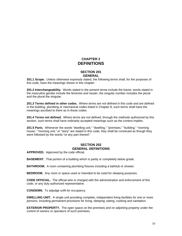## **CHAPTER 2 DEFINITIONS**

## **SECTION 201 GENERAL**

**201.1 Scope.** Unless otherwise expressly stated, the following terms shall, for the purposes of this code, have the meanings shown in this chapter.

**201.2 Interchangeability.** Words stated in the present tense include the future; words stated in the masculine gender include the feminine and neuter; the singular number includes the plural and the plural the singular.

**201.3 Terms defined in other codes.** Where terms are not defined in this code and are defined in the building, plumbing or mechanical codes listed in Chapter 8, such terms shall have the meanings ascribed to them as in those codes.

**201.4 Terms not defined.** Where terms are not defined, through the methods authorized by this section, such terms shall have ordinarily accepted meanings such as the context implies.

201.5 Parts. Whenever the words "dwelling unit," "dwelling," "premises," "building," "rooming house," "rooming unit," or "story" are stated in this code, they shall be construed as though they were followed by the words "or any part thereof."

## **SECTION 202 GENERAL DEFINITIONS**

**APPROVED.** Approved by the code official.

**BASEMENT.** That portion of a building which is partly or completely below grade.

**BATHROOM.** A room containing plumbing fixtures including a bathtub or shower.

**BEDROOM.** Any room or space used or intended to be used for sleeping purposes.

**CODE OFFICIAL.** The official who is charged with the administration and enforcement of this code, or any duly authorized representative.

**CONDEMN.** To adjudge unfit for occupancy.

**DWELLING UNIT.** A single unit providing complete, independent living facilities for one or more persons, including permanent provisions for living, sleeping, eating, cooking and sanitation.

**EXTERIOR PROPERTY.** The open space on the premises and on adjoining property under the control of owners or operators of such premises.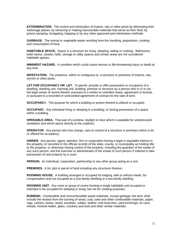**EXTERMINATION.** The control and elimination of insects, rats or other pests by eliminating their harborage places; by removing or making inaccessible materials that serve as their food; by poison spraying, fumigating, trapping or by any other approved pest elimination methods.

**GARBAGE.** The animal or vegetable waste resulting from the handling, preparation, cooking and consumption of food.

**HABITABLE SPACE.** Space in a structure for living, sleeping, eating or cooking. Bathrooms, toilet rooms, closets, halls, storage or utility spaces and similar areas are not considered habitable spaces.

**IMMINENT HAZARD.** A condition which could cause serious or life-threatening injury or death at any time.

**INFESTATION.** The presence, within or contiguous to, a structure or premises of insects, rats, vermin or other pests.

**LET FOR OCCUPANCY OR LET.** To permit, provide or offer possession or occupancy of a dwelling, dwelling unit, rooming unit, building, premise or structure by a person who is or is not the legal owner of record thereof, pursuant to a written or unwritten lease, agreement or license, or pursuant to a recorded or unrecorded agreement of contract for the sale of land.

**OCCUPANCY.** The purpose for which a building or portion thereof is utilized or occupied.

**OCCUPANT.** Any individual living or sleeping in a building; or having possession of a space within a building.

**OPENABLE AREA.** That part of a window, skylight or door which is available for unobstructed ventilation and which opens directly to the outdoors.

**OPERATOR.** Any person who has charge, care or control of a structure or premises which is let or offered for occupancy.

**OWNER.** Any person, agent, operator, firm or corporation having a legal or equitable interest in the property; or recorded in the official records of the state, county, or municipality as holding title to the property; or otherwise having control of the property, including the guardian of the estate of any such person, and the executor or administrator of the estate of such person if ordered to take possession of real property by a court.

**PERSON.** An individual, corporation, partnership or any other group acting as a unit.

**PREMISES.** A lot, plot or parcel of land including any structures thereon.

**ROOMING HOUSE.** A building arranged or occupied for lodging, with or without meals, for compensation and not occupied as a one-family dwelling or a two-family dwelling.

**ROOMING UNIT.** Any room or group of rooms forming a single habitable unit occupied or intended to be occupied for sleeping or living, but not for cooking purposes.

**RUBBISH.** Combustible and noncombustible waste materials, except garbage; the term shall include the residue from the burning of wood, coal, coke and other combustible materials, paper, rags, cartons, boxes, wood, excelsior, rubber, leather, tree branches, yard trimmings, tin cans, metals, mineral matter, glass, crockery and dust and other similar materials.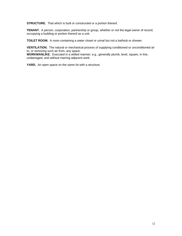**STRUCTURE.** That which is built or constructed or a portion thereof.

**TENANT.** A person, corporation, partnership or group, whether or not the legal owner of record, occupying a building or portion thereof as a unit.

**TOILET ROOM.** A room containing a water closet or urinal but not a bathtub or shower.

**VENTILATION.** The natural or mechanical process of supplying conditioned or unconditioned air to, or removing such air from, any space.

**WORKMANLIKE.** Executed in a skilled manner; e.g., generally plumb, level, square, in line, undamaged, and without marring adjacent work.

**YARD.** An open space on the same lot with a structure.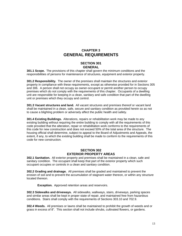## **CHAPTER 3 GENERAL REQUIREMENTS**

#### **SECTION 301 GENERAL**

**301.1 Scope.** The provisions of this chapter shall govern the minimum conditions and the responsibilities of persons for maintenance of structures, equipment and exterior property.

**301.2 Responsibility.** The owner of the premises shall maintain the structures and exterior property in compliance with these requirements, except as otherwise provided for in Sections 305 and 306. A person shall not occupy as owner-occupant or permit another person to occupy premises which do not comply with the requirements of this chapter. Occupants of a dwelling unit are responsible for keeping in a clean, sanitary and safe condition that part of the dwelling unit or premises which they occupy and control.

**301.3 Vacant structures and land.** All vacant structures and premises thereof or vacant land shall be maintained in a clean, safe, secure and sanitary condition as provided herein so as not to cause a blighting problem or adversely affect the public health and safety.

**301.4 Existing Buildings.** Alterations, repairs or rehabilitation work may be made to any existing building without requiring the entire building to comply with all the requirements of this code provided that the alteration, repair or rehabilitation work conforms to the requirements of this code for new construction and does not exceed 50% of the total area of the structure. The housing official shall determine, subject to appeal to the Board of Adjustments and Appeals, the extent, if any, to which the existing building shall be made to conform to the requirements of this code for new construction.

## **SECTION 302 EXTERIOR PROPERTY AREAS**

**302.1 Sanitation.** All exterior property and premises shall be maintained in a clean, safe and sanitary condition. The occupant shall keep that part of the exterior property which such occupant occupies or controls in a clean and sanitary condition.

**302.2 Grading and drainage.** All premises shall be graded and maintained to prevent the erosion of soil and to prevent the accumulation of stagnant water thereon, or within any structure located thereon.

**Exception.** Approved retention areas and reservoirs.

**302.3 Sidewalks and driveways.** All sidewalks, walkways, stairs, driveways, parking spaces and similar areas shall be kept in proper state of repair, and maintained free from hazardous conditions. Stairs shall comply with the requirements of Sections 303.10 and 702.9.

**302.4 Weeds.** All premises or lawns shall be maintained to prohibit the growth of weeds and or grass in excess of 8". This section shall not include shrubs, cultivated flowers, or gardens.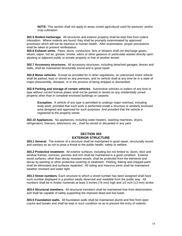**NOTE:** This section shall not apply to areas zoned agricultural used for pastures and/or crop cultivation.

**302.5 Rodent harborage.** All structures and exterior property shall be kept free from rodent infestation. Where rodents are found, they shall be promptly exterminated by approved processes which will not be injurious to human health. After examination, proper precautions shall be taken to prevent reinfestation.

**302.6 Exhaust vents.** Pipes, ducts, conductors, fans or blowers shall not discharge gases, steam, vapor, hot air, grease, smoke, odors or other gaseous or particulate wastes directly upon abutting or adjacent public or private property or that of another tenant.

**302.7 Accessory structures.** All accessory structures, including detached garages, fences and walls, shall be maintained structurally sound and in good repair.

**302.8 Motor vehicles.** Except as provided for in other regulations, no unlicensed motor vehicle shall be parked, kept or stored on any premises, and no vehicle shall at any time be in a state of major disassembly, disrepair, or in the process of being stripped or dismantled.

**302.9 Parking and storage of certain vehicles.** Automotive vehicles or trailers of any kind or type without current license plates shall not be parked or stored on any residentially zoned property other than in complete enclosed buildings or carports.

**Exception.** A vehicle of any type is permitted to undergo major overhaul, including body work, provided that such work is performed inside a structure or similarly enclosed area designed and approved for such purposes. And provided that the vehicle is registered to the property owner.

**302.10 Appliances.** No appliances, including water heaters, washing machines, dryers, refrigerators, freezers, televisions, etc., shall be stored or discarded in any yard.

## **SECTION 303 EXTERIOR STRUCTURE**

**303.1 General.** The exterior of a structure shall be maintained in good repair, structurally sound and sanitary so as not to pose a threat to the public health, safety or welfare.

**303.2 Protective treatment:** All exterior surfaces, including but not limited to, doors, door and window frames, cornices, porches and trim shall be maintained in a good condition. Exterior wood surfaces, other than decay resistant woods, shall be protected from the elements and decay by painting or other protective covering or treatment. Peeling, flaking and chipped paint shall be eliminated and surfaces repainted. All siding and masonry joints shall be maintained weather resistant and water tight.

**303.3 Street numbers.** Each structure to which a street number has been assigned shall have such number displayed in a position easily observed and readable from the public way. All numbers shall be in Arabic numerals at least 3 inches (76 mm) high and 1/2 inch (13 mm) stroke.

**303.4 Structural members.** All structural members shall be maintained free from deterioration, and shall be capable of safely supporting the imposed dead and live loads.

**303.5 Foundation walls.** All foundation walls shall be maintained plumb and free from open cracks and breaks and shall be kept in such condition so as to prevent the entry of rodents.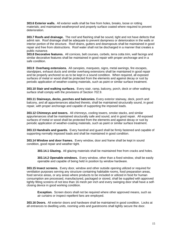**303.6 Exterior walls.** All exterior walls shall be free from holes, breaks, loose or rotting materials; and maintained weatherproof and properly surface coated where required to prevent deterioration.

**303.7 Roofs and drainage.** The roof and flashing shall be sound, tight and not have defects that admit rain. Roof drainage shall be adequate to prevent dampness or deterioration in the walls or interior portion of the structure. Roof drains, gutters and downspouts shall be maintained in good repair and free from obstructions. Roof water shall not be discharged in a manner that creates a public nuisance.

**303.8 Decorative features.** All cornices, belt courses, corbels, terra cotta trim, wall facings and similar decorative features shall be maintained in good repair with proper anchorage and in a safe condition.

**303.9 Overhang extensions.** All canopies, marquees, signs, metal awnings, fire escapes, standpipes, exhaust ducts and similar overhang extensions shall be maintained in good repair and be properly anchored so as to be kept in a sound condition. When required, all exposed surfaces of metal or wood shall be protected from the elements and against decay or rust by periodic application of weather-coating materials, such as paint or similar surface treatment.

**303.10 Stair and walking surfaces.** Every stair, ramp, balcony, porch, deck or other walking surface shall comply with the provisions of Section 702.9.

**303.11 Stairways, decks, porches and balconies.** Every exterior stairway, deck, porch and balcony, and all appurtenances attached thereto, shall be maintained structurally sound, in good repair, with proper anchorage and capable of supporting the imposed loads.

**303.12 Chimneys and towers.** All chimneys, cooling towers, smoke stacks, and similar appurtenances shall be maintained structurally safe and sound, and in good repair. All exposed surfaces of metal or wood shall be protected from the elements and against decay or rust by periodic application of weather-coating materials, such as paint or similar surface treatment.

**303.13 Handrails and guards.** Every handrail and guard shall be firmly fastened and capable of supporting normally imposed loads and shall be maintained in good condition.

**303.14 Window and door frames.** Every window, door and frame shall be kept in sound condition, good repair and weather tight.

**303.14.1 Glazing.** All glazing materials shall be maintained free from cracks and holes.

**303.14.2 Openable windows.** Every window, other than a fixed window, shall be easily openable and capable of being held in position by window hardware.

**303.15 Insect screens.** Every door, window and other outside opening utilized or required for ventilation purposes serving any structure containing habitable rooms, food preparation areas, food service areas, or any areas where products to be included or utilized in food for human consumption are processed, manufactured, packaged or stored, shall be supplied with approved tightly fitting screens of not less than 16 mesh per inch and every swinging door shall have a selfclosing device in good working condition.

**Exception.** Screen doors shall not be required where other approved means, such as air curtains or inspect repellent fans are employed.

**303.16 Doors.** All exterior doors and hardware shall be maintained in good condition. Locks at all entrances to dwelling units, rooming units and guestrooms shall tightly secure the door.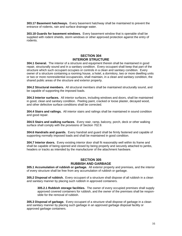**303.17 Basement hatchways.** Every basement hatchway shall be maintained to prevent the entrance of rodents, rain and surface drainage water.

**303.18 Guards for basement windows.** Every basement window that is openable shall be supplied with rodent shields, storm windows or other approved protection against the entry of rodents.

## **SECTION 304 INTERIOR STRUCTURE**

**304.1 General.** The interior of a structure and equipment therein shall be maintained in good repair, structurally sound and in a sanitary condition. Every occupant shall keep that part of the structure which such occupant occupies or controls in a clean and sanitary condition. Every owner of a structure containing a rooming house, a hotel, a dormitory, two or more dwelling units or two or more nonresidential occupancies, shall maintain, in a clean and sanitary condition, the shared public areas of the structure and exterior property.

**304.2 Structural members.** All structural members shall be maintained structurally sound, and be capable of supporting the imposed loads.

**304.3 Interior surfaces.** All interior surfaces, including windows and doors, shall be maintained in good, clean and sanitary condition. Peeling paint, cracked or loose plaster, decayed wood, and other defective surface conditions shall be corrected.

**304.4 Stairs and railings.** All interior stairs and railings shall be maintained in sound condition and good repair.

**304.5 Stairs and walking surfaces.** Every stair, ramp, balcony, porch, deck or other walking surface shall comply with the provisions of Section 702.9.

**304.6 Handrails and guards.** Every handrail and guard shall be firmly fastened and capable of supporting normally imposed loads and shall be maintained in good condition.

**304.7 Interior doors.** Every existing interior door shall fit reasonably well within its frame and shall be capable of being opened and closed by being properly and securely attached to jambs, headers or tracks as intended by the manufacturer of the attachment hardware.

## **SECTION 305 RUBBISH AND GARBAGE**

**305.1 Accumulation of rubbish or garbage.** All exterior property and premises, and the interior of every structure shall be free from any accumulation of rubbish or garbage.

**305.2 Disposal of rubbish.** Every occupant of a structure shall dispose of all rubbish in a clean and sanitary manner by placing such rubbish in approved containers.

 **305.2.1 Rubbish storage facilities.** The owner of every occupied premises shall supply approved covered containers for rubbish, and the owner of the premises shall be respon sible for the removal of rubbish.

**305.3 Disposal of garbage.** Every occupant of a structure shall dispose of garbage in a clean and sanitary manner by placing such garbage in an approved garbage disposal facility or approved garbage containers.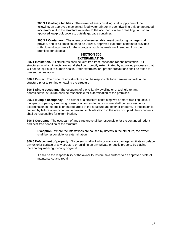**305.3.1 Garbage facilities.** The owner of every dwelling shall supply one of the following: an approved mechanical food water grinder in each dwelling unit; an approved incinerator unit in the structure available to the occupants in each dwelling unit; or an approved leakproof, covered, outside garbage container.

**305.3.2 Containers.** The operator of every establishment producing garbage shall provide, and at all times cause to be utilized, approved leakproof containers provided with close-fitting covers for the storage of such materials until removed from the premises for disposal.

## **SECTION 306 EXTERMINATION**

**306.1 Infestation.** All structures shall be kept free from insect and rodent infestation. All structures in which insects are found shall be promptly exterminated by approved processes that will not be injurious to human health. After extermination, proper precautions shall be taken to prevent reinfestation.

**306.2 Owner.** The owner of any structure shall be responsible for extermination within the structure prior to renting or leasing the structure.

**306.3 Single occupant.** The occupant of a one-family dwelling or of a single-tenant nonresidential structure shall be responsible for extermination of the premises.

**306.4 Multiple occupancy.** The owner of a structure containing two or more dwelling units, a multiple occupancy, a rooming house or a nonresidential structure shall be responsible for extermination in the public or shared areas of the structure and exterior property. If infestation is caused by failure of an occupant to prevent such infestation in the area occupied, the occupants shall be responsible for extermination.

**306.5 Occupant.** The occupant of any structure shall be responsible for the continued rodent and pest free condition of the structure.

**Exception.** Where the infestations are caused by defects in the structure, the owner shall be responsible for extermination.

**306.6 Defacement of property.** No person shall willfully or wantonly damage, mutilate or deface any exterior surface of any structure or building on any private or public property by placing thereon any marking, carving or graffiti.

 It shall be the responsibility of the owner to restore said surface to an approved state of maintenance and repair.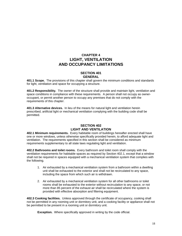## **CHAPTER 4 LIGHT, VENTILATION AND OCCUPANCY LIMITATIONS**

## **SECTION 401 GENERAL**

**401.1 Scope.** The provisions of this chapter shall govern the minimum conditions and standards for light, ventilation and space for occupying a structure.

**401.2 Responsibility.** The owner of the structure shall provide and maintain light, ventilation and space conditions in compliance with these requirements. A person shall not occupy as owneroccupant, or permit another person to occupy any premises that do not comply with the requirements of this chapter.

**401.3 Alternative devices.** In lieu of the means for natural light and ventilation herein prescribed, artificial light or mechanical ventilation complying with the building code shall be permitted.

## **SECTION 402 LIGHT AND VENTILATION**

**402.1 Minimum requirements.** Every habitable room of buildings hereafter erected shall have one or more windows, unless otherwise specifically provided herein, to afford adequate light and ventilation. The requirements specified in this section shall be considered as minimum requirements supplementary to all state laws regulating light and ventilation.

**402.2 Bathrooms and toilet rooms.** Every bathroom and toilet room shall comply with the ventilation requirements for habitable spaces as required by Section 402.1, except that a window shall not be required in spaces equipped with a mechanical ventilation system that complies with the following.

- 1. Air exhausted by a mechanical ventilation system from a bathroom within a dwelling unit shall be exhausted to the exterior and shall not be recirculated to any space, including the space from which such air is withdrawn.
- 2. Air exhausted by a mechanical ventilation system for all other bathrooms or toilet rooms shall be exhausted to the exterior without recirculation to any space, or not more than 85 percent of the exhaust air shall be recirculated where the system is provided with effective absorption and filtering equipment.

**402.3 Cooking facilities.** Unless approved through the certificate of occupancy, cooking shall not be permitted in any rooming unit or dormitory unit, and a cooking facility or appliance shall not be permitted to be present in a rooming unit or dormitory unit.

**Exception.** Where specifically approved in writing by the code official.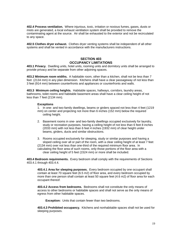**402.4 Process ventilation.** Where injurious, toxic, irritation or noxious fumes, gases, dusts or mists are generated, a local exhaust ventilation system shall be provided to remove the contaminating agent at the source. Air shall be exhausted to the exterior and not be recirculated to any space.

**402.5 Clothes dryer exhaust.** Clothes dryer venting systems shall be independent of all other systems and shall be vented in accordance with the manufacturers instructions.

## **SECTION 403 OCCUPANCY LIMITATIONS**

**403.1 Privacy.** Dwelling units, hotel units, rooming units and dormitory units shall be arranged to provide privacy and be separate from other adjoining spaces.

**403.2 Minimum room widths.** A habitable room, other than a kitchen, shall not be less than 7 feet (2134 mm) in any plan dimension. Kitchens shall have a clear passageway of not less than 3 feet (914 mm) between counterfronts and appliances or counterfronts and walls.

**403.3 Minimum ceiling heights.** Habitable spaces, hallways, corridors, laundry areas, bathrooms, toilet rooms and habitable basement areas shall have a clear ceiling height of not less than 7 feet (2134 mm).

#### **Exceptions**

1. In one- and two-family dwellings, beams or girders spaced not less than 4 feet (1219 mm) on center and projecting not more than 6 inches (152 mm) below the required ceiling height.

 2. Basement rooms in one- and two-family dwellings occupied exclusively for laundry, study or recreation purposes, having a ceiling height of not less than 6 feet 8 inches (2033 mm) with not less than 6 feet 4 inches (1932 mm) of clear height under beams, girders, ducts and similar obstructions.

 3. Rooms occupied exclusively for sleeping, study or similar purposes and having a sloped ceiling over all or part of the room, with a clear ceiling height of at least 7 feet (2134 mm) over not less than one-third of the required minimum floor area. In calculating the floor area of such rooms, only those portions of the floor area with a clear ceiling height of 5 feet (1524 mm) or more shall be included.

**403.4 Bedroom requirements.** Every bedroom shall comply with the requirements of Sections 403.4.1 through 403.4.4.

**403.4.1 Area for sleeping purposes.** Every bedroom occupied by one occupant shall contain at least 70 square feet (6.5 m2) of floor area, and every bedroom occupied by more than one person shall contain at least 50 square feet (4.6 m2) of floor area for each occupant thereof.

**403.4.2 Access from bedrooms.** Bedrooms shall not constitute the only means of access to other bedrooms or habitable spaces and shall not serve as the only means of egress from other habitable spaces.

**Exception:** Units that contain fewer than two bedrooms.

**403.4.3 Prohibited occupancy.** Kitchens and nonhabitable spaces shall not be used for sleeping purposes.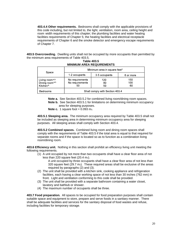**403.4.4 Other requirements.** Bedrooms shall comply with the applicable provisions of this code including, but not limited to, the light, ventilation, room area, ceiling height and room width requirements of this chapter; the plumbing facilities and water heating facilities requirements of Chapter 5; the heating facilities and electrical receptacle requirements of Chapter 6 and the smoke detector and emergency escape requirements of Chapter 7.

**403.5 Overcrowding.** Dwelling units shall not be occupied by more occupants than permitted by the minimum area requirements of Table 403.5.

| Space                                                                            | Minimum area in square feet <sup>c</sup> |                 |                  |
|----------------------------------------------------------------------------------|------------------------------------------|-----------------|------------------|
|                                                                                  | 1-2 occupants                            | 3-5 occupants   | 6 or more        |
| Living room <sup>a,b</sup><br>Dining room <sup>a,b</sup><br>Kitchen <sup>b</sup> | No requirements<br>No requirements<br>50 | 120<br>80<br>50 | 150<br>100<br>60 |
| <b>Bedrooms</b>                                                                  | Shall comply with Section 403.4          |                 |                  |

**Table 403.5 MINIMUM AREA REQUIREMENTS** 

 **Note a.** See Section 403.5.2 for combined living room/dining room spaces. **Note b.** See Section 403.5.1 for limitations on determining minimum occupancy

area for sleeping purposes.

**Note c.** 1 square foot  $= 0.093$  m<sub>2</sub>.

**403.5.1 Sleeping area.** The minimum occupancy area required by Table 403.5 shall not be included as sleeping area in determining minimum occupancy area for sleeping purposes. All sleeping areas shall comply with Section 403.4.

 **403.5.2 Combined spaces.** Combined living room and dining room spaces shall comply with the requirements of Table 403.5 if the total area is equal to that required for separate rooms and if the space is located so as to function as a combination living room/dining room.

**403.6 Efficiency unit.** Nothing in this section shall prohibit an efficiency living unit meeting the following requirements.

 (1) A unit occupied by not more than two occupants shall have a clear floor area of not less than 220 square feet  $(20.4 \text{ m}_2)$ .

 A unit occupied by three occupants shall have a clear floor area of not less than 320 square feet  $(29.7 \text{ m}_2)$ . These required areas shall be exclusive of the areas required by paragraphs (2) and (3).

- (2) The unit shall be provided with a kitchen sink, cooking appliance and refrigeration facilities, each having a clear working space of not less than 30 inches (762 mm) in front. Light and ventilation conforming to this code shall be provided.
- (3) The unit shall be provided with a separate bathroom containing a water closet, lavatory and bathtub or shower.
- (4) The maximum number of occupants shall be three.

**403.7 Food preparation.** All spaces to be occupied for food preparation purposes shall contain suitable space and equipment to store, prepare and serve foods in a sanitary manner. There shall be adequate facilities and services for the sanitary disposal of food wastes and refuse, including facilities for temporary storage.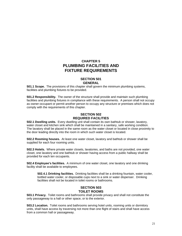## **CHAPTER 5 PLUMBING FACILITIES AND FIXTURE REQUIREMENTS**

#### **SECTION 501 GENERAL**

**501.1 Scope.** The provisions of this chapter shall govern the minimum plumbing systems, facilities and plumbing fixtures to be provided.

**501.2 Responsibility.** The owner of the structure shall provide and maintain such plumbing facilities and plumbing fixtures in compliance with these requirements. A person shall not occupy as owner-occupant or permit another person to occupy any structure or premises which does not comply with the requirements of this chapter.

## **SECTION 502 REQUIRED FACILITIES**

**502.1 Dwelling units.** Every dwelling unit shall contain its own bathtub or shower, lavatory, water closet and kitchen sink which shall be maintained in a sanitary, safe working condition. The lavatory shall be placed in the same room as the water closet or located in close proximity to the door leading directly into the room in which such water closet is located.

**502.2 Rooming houses.** At least one water closet, lavatory and bathtub or shower shall be supplied for each four rooming units.

**502.3 Hotels.** Where private water closets, lavatories, and baths are not provided, one water closet, one lavatory and one bathtub or shower having access from a public hallway shall be provided for each ten occupants.

**502.4 Employee's facilities.** A minimum of one water closet, one lavatory and one drinking facility shall be available to employees.

**502.4.1 Drinking facilities.** Drinking facilities shall be a drinking fountain, water cooler, bottled water cooler, or disposable cups next to a sink or water dispenser. Drinking facilities shall not be located in toilet rooms or bathrooms.

## **SECTION 503 TOILET ROOMS**

**503.1 Privacy.** Toilet rooms and bathrooms shall provide privacy and shall not constitute the only passageway to a hall or other space, or to the exterior.

**503.2 Location.** Toilet rooms and bathrooms serving hotel units, rooming units or dormitory units, shall have access by traversing not more than one flight of stairs and shall have access from a common hall or passageway.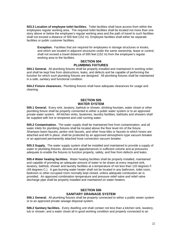**503.3 Location of employee toilet facilities.** Toilet facilities shall have access from within the employees regular working area. The required toilet facilities shall be located not more than one story above or below the employee's regular working area and the path of travel to such facilities shall not exceed a distance of 500 feet (152 m). Employee facilities shall either be separate facilities or public customer facilities.

 **Exception.** Facilities that are required for employees in storage structures or kiosks, and which are located in adjacent structures under the same ownership, lease or control, shall not exceed a travel distance of 500 feet (152 m) from the employee's regular working area to the facilities.

## **SECTION 504 PLUMBING FIXTURES**

**504.1 General.** All plumbing fixtures shall be properly installed and maintained in working order, and shall be kept free from obstructions, leaks, and defects and be capable of performing the function for which such plumbing fixtures are designed. All plumbing fixtures shall be maintained in a safe, sanitary and functional condition.

**504.2 Fixture clearances.** Plumbing fixtures shall have adequate clearances for usage and cleaning.

## **SECTION 505 WATER SYSTEM**

**505.1 General.** Every sink, lavatory, bathtub or shower, drinking fountain, water closet or other plumbing fixture shall be properly connected to either a public water system or to an approved private water system. All kitchen sinks, lavatories, laundry facilities, bathtubs and showers shall be supplied with hot or tempered and cold running water.

**505.2 Contamination.** The water supply shall be maintained free from contamination, and all water inlets for plumbing fixtures shall be located above the floor level rim of the fixture. Shampoo basin faucets, janitor sink faucets, and other hose bibs or faucets to which hoses are attached and left in place, shall be protected by an approved atmospheric-type vacuum breaker or an approved permanently attached hose connection vacuum breaker.

**505.3 Supply.** The water supply system shall be installed and maintained to provide a supply of water to plumbing fixtures, devices and appurtenances in sufficient volume and at pressures adequate to enable the fixtures to function properly, safely, and free from defects and leaks.

**505.4 Water heating facilities.** Water heating facilities shall be properly installed, maintained and capable of providing an adequate amount of water to be drawn at every required sink, lavatory, bathtub, shower and laundry facilities at a temperature of not less than 120 degrees F. (49 degrees C.). A gas-burning water heater shall not be located in any bathroom, toilet room, bedroom or other occupied room normally kept closed, unless adequate combustion air is provided. An approved combination temperature and pressure relief valve and relief valve discharge pipe shall be properly installed and maintained on water heaters.

## **SECTION 506 SANITARY DRAINAGE SYSTEM**

**506.1 General.** All plumbing fixtures shall be properly connected to either a public sewer system or to an approved private sewage disposal system.

**506.2 Sanitary facilities.** Every dwelling unit shall contain not less than a kitchen sink, lavatory, tub or shower, and a water closet all in good working condition and properly connected to an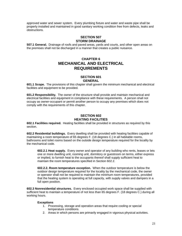approved water and sewer system. Every plumbing fixture and water and waste pipe shall be properly installed and maintained in good sanitary working condition free from defects, leaks and obstructions.

#### **SECTION 507 STORM DRAINAGE**

**507.1 General.** Drainage of roofs and paved areas, yards and courts, and other open areas on the premises shall not be discharged in a manner that creates a public nuisance.

## **CHAPTER 6 MECHANICAL AND ELECTRICAL REQUIREMENTS**

## **SECTION 601 GENERAL**

**601.1 Scope.** The provisions of this chapter shall govern the minimum mechanical and electrical facilities and equipment to be provided.

**601.2 Responsibility.** The owner of the structure shall provide and maintain mechanical and electrical facilities and equipment in compliance with these requirements. A person shall not occupy as owner-occupant or permit another person to occupy any premises which does not comply with the requirements of this chapter.

## **SECTION 602 HEATING FACILITIES**

**602.1 Facilities required.** Heating facilities shall be provided in structures as required by this section.

**602.2 Residential buildings.** Every dwelling shall be provided with heating facilities capable of maintaining a room temperature of 65 degrees F. (18 degrees C.) in all habitable rooms, bathrooms and toilet rooms based on the outside design temperature required for the locality by the mechanical code.

**602.2.1 Heat supply.** Every owner and operator of any building who rents, leases or lets one or more dwelling unit, rooming unit, dormitory or guestroom on terms, either express or implied, to furnish heat to the occupants thereof shall supply sufficient heat to maintain the room temperatures specified in Section 602.2.

**602.2.2. Room temperature exception.** When the outdoor temperature is below the outdoor design temperature required for the locality by the mechanical code, the owner or operator shall not be required to maintain the minimum room temperatures, provided that the heating system is operating at full capacity, with supply valves and dampers in a full open position.

**602.3 Nonresidential structures.** Every enclosed occupied work space shall be supplied with sufficient heat to maintain a temperature of not less than 65 degrees F. (18 degrees C.) during all working hours.

## **Exceptions**

- 1. Processing, storage and operation areas that require cooling or special temperature conditions.
- 2. Areas in which persons are primarily engaged in vigorous physical activities.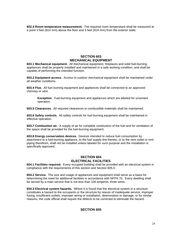**602.4 Room temperature measurement.** The required room temperature shall be measured at a point 3 feet (914 mm) above the floor and 3 feet (914 mm) from the exterior walls.

## **SECTION 603 MECHANICAL EQUIPMENT**

**603.1 Mechanical equipment.** All mechanical equipment, fireplaces and solid fuel-burning appliances shall be properly installed and maintained in a safe working condition, and shall be capable of performing the intended function.

**603.2 Equipment access.** Access to outdoor mechanical equipment shall be maintained under all weather conditions.

**603.4 Flue.** All fuel burning equipment and appliances shall be connected to an approved chimney or vent.

 **Exception.** Fuel-burning equipment and appliances which are labeled for unvented operation.

**603.5 Clearances.** All required clearances to combustible materials shall be maintained.

**603.6 Safety controls.** All safety controls for fuel-burning equipment shall be maintained in effective operation.

**603.7 Combustion air.** A supply of air for complete combustion of the fuel and for ventilation of the space shall be provided for the fuel-burning equipment.

**603.8 Energy conservation devices.** Devices intended to reduce fuel consumption by attachment to a fuel-burning appliance, to the fuel supply line thereto, or to the vent outlet or rent piping therefrom, shall not be installed unless labeled for such purpose and the installation is specifically approved.

#### **SECTION 604 ELECTRICAL FACILITIES**

**604.1 Facilities required.** Every occupied building shall be provided with an electrical system in compliance with the requirements of this section and Section 605.0.

**604.2 Service.** The size and usage of appliances and equipment shall serve as a basis for determining the need for additional facilities in accordance with NFPA 70. Every dwelling shall be served by a main service that is not less than 100 amperes, three wires.

**604.3 Electrical system hazards.** Where it is found that the electrical system in a structure constitutes a hazard to the occupants or the structure by reason of inadequate service, improper fusing, insufficient outlets, improper wiring or installation, deterioration or damage, or for similar reasons, the code official shall require the defects to be corrected to eliminate the hazard.

## **SECTION 605**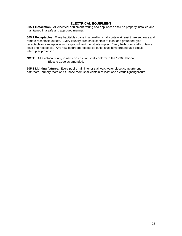## **ELECTRICAL EQUIPMENT**

**605.1 Installation.** All electrical equipment, wiring and appliances shall be properly installed and maintained in a safe and approved manner.

**605.2 Receptacles.** Every habitable space in a dwelling shall contain at least three separate and remote receptacle outlets. Every laundry area shall contain at least one grounded-type receptacle or a receptacle with a ground fault circuit interrupter. Every bathroom shall contain at least one receptacle. Any new bathroom receptacle outlet shall have ground fault circuit interrupter protection.

**NOTE:** All electrical wiring in new construction shall conform to the 1996 National Electric Code as amended.

**605.3 Lighting fixtures.** Every public hall, interior stairway, water closet compartment, bathroom, laundry room and furnace room shall contain at least one electric lighting fixture.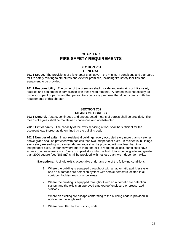## **CHAPTER 7 FIRE SAFETY REQUIREMENTS**

## **SECTION 701 GENERAL**

**701.1 Scope.** The provisions of this chapter shall govern the minimum conditions and standards for fire safety relating to structures and exterior premises, including fire safety facilities and equipment to be provided.

**701.2 Responsibility.** The owner of the premises shall provide and maintain such fire safety facilities and equipment in compliance with these requirements. A person shall not occupy as owner-occupant or permit another person to occupy any premises that do not comply with the requirements of this chapter.

## **SECTION 702 MEANS OF EGRESS**

**702.1 General.** A safe, continuous and unobstructed means of egress shall be provided. The means of egress shall be maintained continuous and unobstructed.

**702.2 Exit capacity.** The capacity of the exits servicing a floor shall be sufficient for the occupant load thereof as determined by the building code.

**702.3 Number of exits.** In nonresidential buildings, every occupied story more than six stories above grade shall be provided with not less than two independent exits. In residential buildings, every story exceeding two stories above grade shall be provided with not less than two independent exits. In stories where more than one exit is required, all occupants shall have access to at lease two exits. Every occupied story which is both totally below grade and greater than 2000 square feet (186 m2) shall be provided with not less than two independent exits.

**Exceptions.** A single exit is acceptable under any one of the following conditions.

- 1. Where the building is equipped throughout with an automatic sprinkler system and an automatic fire detection system with smoke detectors located in all corridors, lobbies and common areas.
- 2. Where the building is equipped throughout with an automatic fire detection system and the exit is an approved smokeproof enclosure or pressurized stairway.
- 3. Where an existing fire escape conforming to the building code is provided in addition to the single exit.
- 4. Where permitted by the building code.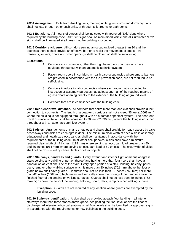**702.4 Arrangement.** Exits from dwelling units, rooming units, guestrooms and dormitory units shall not lead through other such units, or through toilet rooms or bathrooms.

**702.5 Exit signs.** All means of egress shall be indicated with approved "Exit" signs where required by the building code. All "Exit" signs shall be maintained visible and all illuminated "Exit" signs shall be illuminated at all times that the building is occupied.

**702.6 Corridor enclosure.** All corridors serving an occupant load greater than 30 and the openings therein shall provide an effective barrier to resist the movement of smoke. All transoms, louvers, doors and other openings shall be closed or shall be self-closing.

#### **Exceptions.**

- 1. Corridors in occupancies, other than high hazard occupancies which are equipped throughout with an automatic sprinkler system.
- 2. Patient room doors in corridors in health care occupancies where smoke barriers are provided in accordance with the fire prevention code, are not required to be self-closing.
- 3. Corridors in educational occupancies where each room that is occupied for instruction or assembly purposes has at least one-half of the required means of egress doors opening directly to the exterior of the building at ground level.
- 4. Corridors that are in compliance with the building code.

**702.7 Dead-end travel distance.** All corridors that serve more than one exit shall provide direct connection to such exits. The length of a dead-end corridor shall not exceed 35 feet (10668 mm) where the building is not equipped throughout with an automatic sprinkler system. The dead-end travel distance limitation shall be increased to 70 feet (21336 mm) where the building is equipped throughout with an automatic sprinkler system.

**702.8 Aisles.** Arrangements of chairs or tables and chairs shall provide for ready access by aisle accessways and aisles to each egress door. The minimum clear width of each aisle in assembly, educational and health care occupancies shall be maintained in accordance with the requirements of the building code. In all other occupancies, aisles shall have a minimum required clear width of 44 inches (1118 mm) where serving an occupant load greater than 50, and 36 inches (914 mm) where serving an occupant load of 50 or less. The clear width of aisles shall not be obstructed by chairs, tables or other objects.

**702.9 Stairways, handrails and guards.** Every exterior and interior flight of means of egress stairs serving any building or portion thereof and having more than four risers shall have a handrail on at least one side of the stair. Every open portion of a stair, landing, balcony, porch, deck, ramp or other walking surface which is more than 30 inches (762 mm) above the floor or grade below shall have guards. Handrails shall not be less than 30 inches (762 mm) nor more than 42 inches (1067 mm) high, measured vertically above the nosing of the tread or above the finished floor of the landing or walking surfaces. Guards shall not be less than 30 inches (762 mm) high above the floor of the landing, balcony, porch, deck, ramp or other walking surface.

**Exception:** Guards are not required at any location where guards are exempted by the building code.

**702.10 Stairway identification.** A sign shall be provided at each floor landing in all interior stairways more than three stories above grade, designating the floor level above the floor of discharge. All elevator lobby call stations on all floor levels shall be identified by approved signs in accordance with the requirements for new buildings in the building code.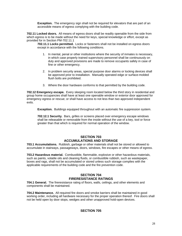**Exception.** The emergency sign shall not be required for elevators that are part of an accessible means of egress complying with the building code.

**702.11 Locked doors.** All means of egress doors shall be readily openable from the side from which egress is to be made without the need for keys, special knowledge or effort, except as provided for in Section PM-702.11.1

**702.11.1 Locks permitted.** Locks or fasteners shall not be installed on egress doors except in accordance with the following conditions.

- 1. In mental, penal or other institutions where the security of inmates is necessary, in which case properly trained supervisory personnel shall be continuously on duty and approved provisions are made to remove occupants safely in case of fine or other emergency.
- 2. In problem security areas, special purpose door alarms or locking devices shall be approved prior to installation. Manually operated edge or surface-molded flush bolts are prohibited.
- 3. Where the door hardware conforms to that permitted by the building code.

**702.12 Emergency escape.** Every sleeping room located below the third story in residential and group home occupancies shall have at least one openable window or exterior door approved for emergency egress or rescue; or shall have access to not less than two approved independent exits.

**Exception.** Buildings equipped throughout with an automatic fire suppression system.

**702.12.1 Security.** Bars, grilles or screens placed over emergency escape windows shall be releasable or removable from the inside without the use of a key, tool or force greater than that which is required for normal operation of the window.

## **SECTION 703 ACCUMULATIONS AND STORAGE**

**703.1 Accumulations.** Rubbish, garbage or other materials shall not be stored or allowed to accumulate in stairways, passageways, doors, windows, fire escapes or other means of egress.

**703.2 Hazardous material.** Combustible, flammable, explosive or other hazardous materials, such as paints, volatile oils and cleaning fluids, or combustible rubbish, such as wastepaper, boxes and rags, shall not be accumulated or stored unless such storage complies with the applicable requirements of the building code and the fire prevention code.

#### **SECTION 704 FIRERESISTANCE RATINGS**

**704.1 General.** The fireresistance rating of floors, walls, ceilings, and other elements and components shall be maintained.

**704.2 Maintenance.** All required fire doors and smoke barriers shall be maintained in good working order, including all hardware necessary for the proper operation thereof. Fire doors shall not be held open by door stops, wedges and other unapproved hold-open devices.

## **SECTION 705**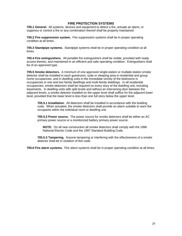## **FIRE PROTECTION SYSTEMS**

**705.1 General.** All systems, devices and equipment to detect a fire, actuate an alarm, or suppress or control a fire or any combination thereof shall be properly maintained.

**705.2 Fire suppression system.** Fire suppression systems shall be in proper operating condition at all times.

**705.3 Standpipe systems.** Standpipe systems shall be in proper operating condition at all times.

**705.4 Fire extinguishers.** All portable fire extinguishers shall be visible, provided with ready access thereto, and maintained in an efficient and safe operating condition. Extinguishers shall be of an approved type.

**705.5 Smoke detectors.** A minimum of one approved single-station or multiple-station smoke detector shall be installed in each guestroom, suite or sleeping area in residential and group home occupancies, and in dwelling units in the immediate vicinity of the bedrooms in occupancies in one and two family dwellings and multi-family dwellings. In all residential occupancies, smoke detectors shall be required on every story of the dwelling unit, including basements. In dwelling units with split levels and without an intervening door between the adjacent levels, a smoke detector installed on the upper level shall suffice for the adjacent lower level, provided that the lower level is less than one full story below the upper level.

**705.5.1 Installation.** All detectors shall be installed in accordance with the building code. When actuated, the smoke detectors shall provide an alarm suitable to warn the occupants within the individual room or dwelling unit.

**705.5.2 Power source.** The power source for smoke detectors shall be either an AC primary power source or a monitorized battery primary power source.

 **NOTE:** On all new construction all smoke detectors shall comply with the 1996 National Electric Code and the 1997 Standard Building Code.

**705.5.3 Tampering.** Anyone tampering or interfering with the effectiveness of a smoke detector shall be in violation of this code.

**705.6 Fire alarm systems.** Fire alarm systems shall be in proper operating condition at all times.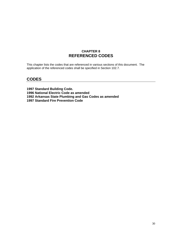## **CHAPTER 8 REFERENCED CODES**

This chapter lists the codes that are referenced in various sections of this document. The application of the referenced codes shall be specified in Section 102.7.

## **CODES**

**1997 Standard Building Code. 1996 National Electric Code as amended 1992 Arkansas State Plumbing and Gas Codes as amended 1997 Standard Fire Prevention Code**